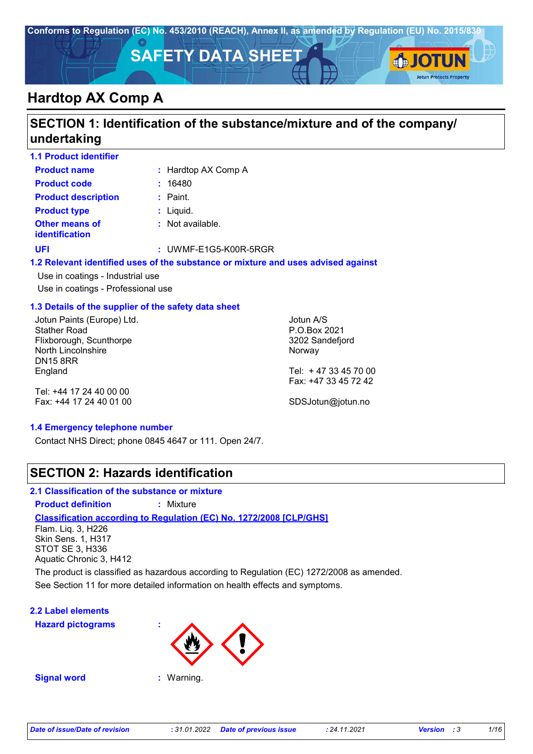

# **SECTION 1: Identification of the substance/mixture and of the company/ undertaking**

| <b>1.1 Product identifier</b>                  |                                                                                   |  |  |  |
|------------------------------------------------|-----------------------------------------------------------------------------------|--|--|--|
| <b>Product name</b>                            | : Hardtop AX Comp A                                                               |  |  |  |
| <b>Product code</b>                            | : 16480                                                                           |  |  |  |
| <b>Product description</b>                     | $:$ Paint.                                                                        |  |  |  |
| <b>Product type</b>                            | $:$ Liquid.                                                                       |  |  |  |
| <b>Other means of</b><br><b>identification</b> | $\therefore$ Not available.                                                       |  |  |  |
| UFI                                            | : UWMF-E1G5-K00R-5RGR                                                             |  |  |  |
|                                                | 1.2 Relevant identified uses of the substance or mixture and uses advised against |  |  |  |
| Use in coatings - Industrial use               |                                                                                   |  |  |  |
| Use in coatings - Professional use             |                                                                                   |  |  |  |

### **1.3 Details of the supplier of the safety data sheet**

Jotun Paints (Europe) Ltd. Stather Road Flixborough, Scunthorpe North Lincolnshire DN15 8RR **England** 

Jotun A/S P.O.Box 2021 3202 Sandefjord Norway

Tel: + 47 33 45 70 00 Fax: +47 33 45 72 42

Tel: +44 17 24 40 00 00 Fax: +44 17 24 40 01 00

SDSJotun@jotun.no

### **1.4 Emergency telephone number**

Contact NHS Direct; phone 0845 4647 or 111. Open 24/7.

### **SECTION 2: Hazards identification**

### **2.1 Classification of the substance or mixture**

**Product definition :** Mixture

### **Classification according to Regulation (EC) No. 1272/2008 [CLP/GHS]**

Flam. Liq. 3, H226 Skin Sens. 1, H317 STOT SE 3, H336 Aquatic Chronic 3, H412

See Section 11 for more detailed information on health effects and symptoms. The product is classified as hazardous according to Regulation (EC) 1272/2008 as amended.

**2.2 Label elements Hazard pictograms :**



**Signal word :** Warning.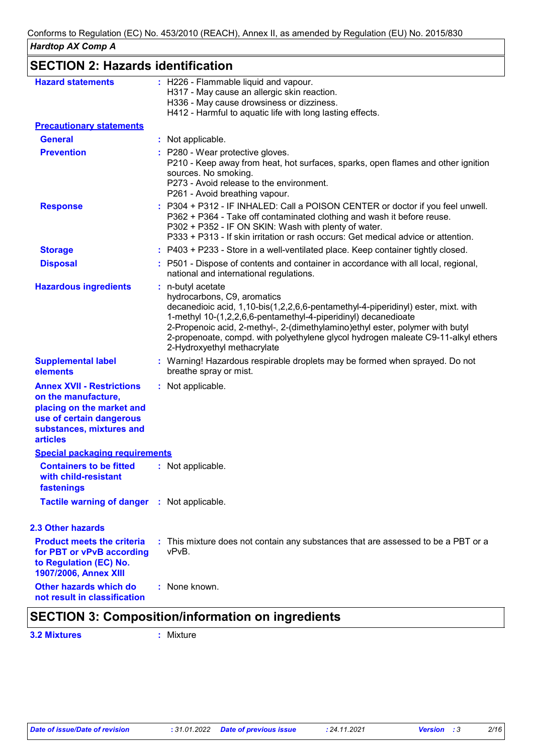| <b>Hazard statements</b>                                                                                                                                        | : H226 - Flammable liquid and vapour.                                                                                                                                                                                                                                                                                                                                                                         |
|-----------------------------------------------------------------------------------------------------------------------------------------------------------------|---------------------------------------------------------------------------------------------------------------------------------------------------------------------------------------------------------------------------------------------------------------------------------------------------------------------------------------------------------------------------------------------------------------|
|                                                                                                                                                                 | H317 - May cause an allergic skin reaction.                                                                                                                                                                                                                                                                                                                                                                   |
|                                                                                                                                                                 | H336 - May cause drowsiness or dizziness.                                                                                                                                                                                                                                                                                                                                                                     |
|                                                                                                                                                                 | H412 - Harmful to aquatic life with long lasting effects.                                                                                                                                                                                                                                                                                                                                                     |
| <b>Precautionary statements</b>                                                                                                                                 |                                                                                                                                                                                                                                                                                                                                                                                                               |
| <b>General</b>                                                                                                                                                  | : Not applicable.                                                                                                                                                                                                                                                                                                                                                                                             |
| <b>Prevention</b>                                                                                                                                               | : P280 - Wear protective gloves.<br>P210 - Keep away from heat, hot surfaces, sparks, open flames and other ignition<br>sources. No smoking.<br>P273 - Avoid release to the environment.<br>P261 - Avoid breathing vapour.                                                                                                                                                                                    |
| <b>Response</b>                                                                                                                                                 | : P304 + P312 - IF INHALED: Call a POISON CENTER or doctor if you feel unwell.<br>P362 + P364 - Take off contaminated clothing and wash it before reuse.<br>P302 + P352 - IF ON SKIN: Wash with plenty of water.<br>P333 + P313 - If skin irritation or rash occurs: Get medical advice or attention.                                                                                                         |
| <b>Storage</b>                                                                                                                                                  | : P403 + P233 - Store in a well-ventilated place. Keep container tightly closed.                                                                                                                                                                                                                                                                                                                              |
| <b>Disposal</b>                                                                                                                                                 | : P501 - Dispose of contents and container in accordance with all local, regional,<br>national and international regulations.                                                                                                                                                                                                                                                                                 |
| <b>Hazardous ingredients</b>                                                                                                                                    | : n-butyl acetate<br>hydrocarbons, C9, aromatics<br>decanedioic acid, 1,10-bis(1,2,2,6,6-pentamethyl-4-piperidinyl) ester, mixt. with<br>1-methyl 10-(1,2,2,6,6-pentamethyl-4-piperidinyl) decanedioate<br>2-Propenoic acid, 2-methyl-, 2-(dimethylamino) ethyl ester, polymer with butyl<br>2-propenoate, compd. with polyethylene glycol hydrogen maleate C9-11-alkyl ethers<br>2-Hydroxyethyl methacrylate |
| <b>Supplemental label</b><br>elements                                                                                                                           | : Warning! Hazardous respirable droplets may be formed when sprayed. Do not<br>breathe spray or mist.                                                                                                                                                                                                                                                                                                         |
| <b>Annex XVII - Restrictions</b><br>on the manufacture,<br>placing on the market and<br>use of certain dangerous<br>substances, mixtures and<br><b>articles</b> | : Not applicable.                                                                                                                                                                                                                                                                                                                                                                                             |
| <b>Special packaging requirements</b>                                                                                                                           |                                                                                                                                                                                                                                                                                                                                                                                                               |
| <b>Containers to be fitted</b><br>with child-resistant<br>fastenings                                                                                            | : Not applicable.                                                                                                                                                                                                                                                                                                                                                                                             |
| Tactile warning of danger : Not applicable.                                                                                                                     |                                                                                                                                                                                                                                                                                                                                                                                                               |
| <b>2.3 Other hazards</b>                                                                                                                                        |                                                                                                                                                                                                                                                                                                                                                                                                               |
| <b>Product meets the criteria</b><br>for PBT or vPvB according<br>to Regulation (EC) No.<br>1907/2006, Annex XIII                                               | : This mixture does not contain any substances that are assessed to be a PBT or a<br>vPvB.                                                                                                                                                                                                                                                                                                                    |
| Other hazards which do                                                                                                                                          | : None known.                                                                                                                                                                                                                                                                                                                                                                                                 |

# **SECTION 3: Composition/information on ingredients**

**3.2 Mixtures :** Mixture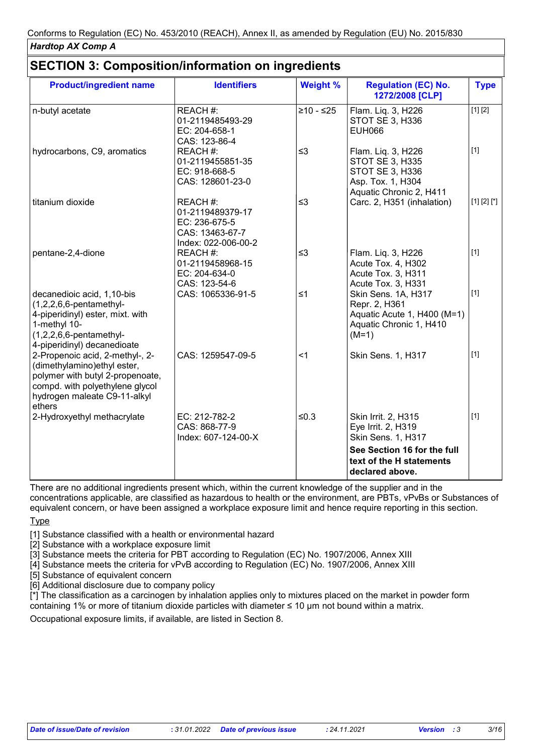| <b>Product/ingredient name</b>                                                                                                                                                   | <b>Identifiers</b>                                                                      | <b>Weight %</b> | <b>Regulation (EC) No.</b><br>1272/2008 [CLP]                                                                                                 | <b>Type</b>   |
|----------------------------------------------------------------------------------------------------------------------------------------------------------------------------------|-----------------------------------------------------------------------------------------|-----------------|-----------------------------------------------------------------------------------------------------------------------------------------------|---------------|
| n-butyl acetate                                                                                                                                                                  | REACH #:<br>01-2119485493-29<br>EC: 204-658-1                                           | ≥10 - ≤25       | Flam. Liq. 3, H226<br><b>STOT SE 3, H336</b><br><b>EUH066</b>                                                                                 | [1] [2]       |
| hydrocarbons, C9, aromatics                                                                                                                                                      | CAS: 123-86-4<br>REACH #:<br>01-2119455851-35<br>EC: 918-668-5<br>CAS: 128601-23-0      | $\leq$ 3        | Flam. Liq. 3, H226<br>STOT SE 3, H335<br>STOT SE 3, H336<br>Asp. Tox. 1, H304<br>Aquatic Chronic 2, H411                                      | $[1]$         |
| titanium dioxide                                                                                                                                                                 | REACH #:<br>01-2119489379-17<br>EC: 236-675-5<br>CAS: 13463-67-7<br>Index: 022-006-00-2 | $\leq$ 3        | Carc. 2, H351 (inhalation)                                                                                                                    | $[1] [2] [*]$ |
| pentane-2,4-dione                                                                                                                                                                | REACH #:<br>01-2119458968-15<br>EC: 204-634-0<br>CAS: 123-54-6                          | $\leq$ 3        | Flam. Liq. 3, H226<br>Acute Tox. 4, H302<br>Acute Tox. 3, H311<br>Acute Tox. 3, H331                                                          | $[1]$         |
| decanedioic acid, 1,10-bis<br>$(1,2,2,6,6$ -pentamethyl-<br>4-piperidinyl) ester, mixt. with<br>1-methyl 10-<br>$(1,2,2,6,6$ -pentamethyl-<br>4-piperidinyl) decanedioate        | CAS: 1065336-91-5                                                                       | $\leq 1$        | Skin Sens. 1A, H317<br>Repr. 2, H361<br>Aquatic Acute 1, H400 (M=1)<br>Aquatic Chronic 1, H410<br>$(M=1)$                                     | $[1]$         |
| 2-Propenoic acid, 2-methyl-, 2-<br>(dimethylamino) ethyl ester,<br>polymer with butyl 2-propenoate,<br>compd. with polyethylene glycol<br>hydrogen maleate C9-11-alkyl<br>ethers | CAS: 1259547-09-5                                                                       | $1$             | Skin Sens. 1, H317                                                                                                                            | $[1]$         |
| 2-Hydroxyethyl methacrylate                                                                                                                                                      | EC: 212-782-2<br>CAS: 868-77-9<br>Index: 607-124-00-X                                   | $≤0.3$          | Skin Irrit. 2, H315<br>Eye Irrit. 2, H319<br>Skin Sens. 1, H317<br>See Section 16 for the full<br>text of the H statements<br>declared above. | $[1]$         |

### **SECTION 3: Composition/information on ingredients**

There are no additional ingredients present which, within the current knowledge of the supplier and in the concentrations applicable, are classified as hazardous to health or the environment, are PBTs, vPvBs or Substances of equivalent concern, or have been assigned a workplace exposure limit and hence require reporting in this section.

**Type** 

[1] Substance classified with a health or environmental hazard

[2] Substance with a workplace exposure limit

[3] Substance meets the criteria for PBT according to Regulation (EC) No. 1907/2006, Annex XIII

[4] Substance meets the criteria for vPvB according to Regulation (EC) No. 1907/2006, Annex XIII

[5] Substance of equivalent concern

[6] Additional disclosure due to company policy

[\*] The classification as a carcinogen by inhalation applies only to mixtures placed on the market in powder form containing 1% or more of titanium dioxide particles with diameter ≤ 10 μm not bound within a matrix.

Occupational exposure limits, if available, are listed in Section 8.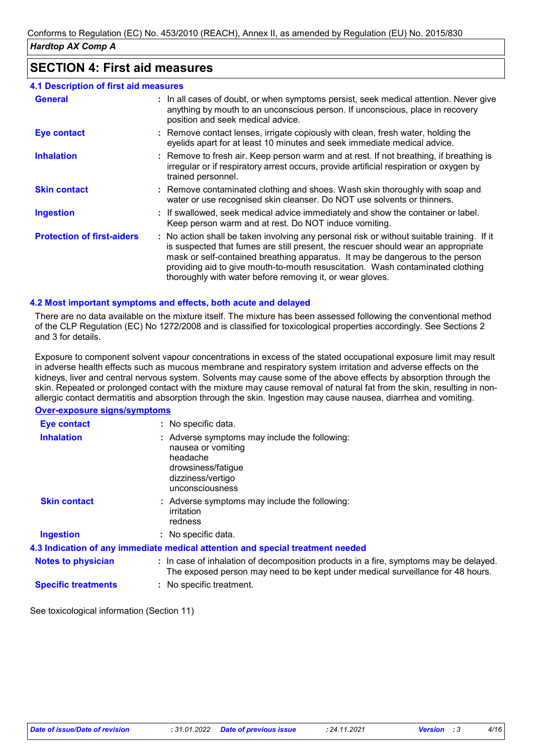### **SECTION 4: First aid measures**

| <b>4.1 Description of first aid measures</b> |                                                                                                                                                                                                                                                                                                                                                                                                                 |
|----------------------------------------------|-----------------------------------------------------------------------------------------------------------------------------------------------------------------------------------------------------------------------------------------------------------------------------------------------------------------------------------------------------------------------------------------------------------------|
| <b>General</b>                               | : In all cases of doubt, or when symptoms persist, seek medical attention. Never give<br>anything by mouth to an unconscious person. If unconscious, place in recovery<br>position and seek medical advice.                                                                                                                                                                                                     |
| <b>Eye contact</b>                           | : Remove contact lenses, irrigate copiously with clean, fresh water, holding the<br>eyelids apart for at least 10 minutes and seek immediate medical advice.                                                                                                                                                                                                                                                    |
| <b>Inhalation</b>                            | : Remove to fresh air. Keep person warm and at rest. If not breathing, if breathing is<br>irregular or if respiratory arrest occurs, provide artificial respiration or oxygen by<br>trained personnel.                                                                                                                                                                                                          |
| <b>Skin contact</b>                          | : Remove contaminated clothing and shoes. Wash skin thoroughly with soap and<br>water or use recognised skin cleanser. Do NOT use solvents or thinners.                                                                                                                                                                                                                                                         |
| <b>Ingestion</b>                             | : If swallowed, seek medical advice immediately and show the container or label.<br>Keep person warm and at rest. Do NOT induce vomiting.                                                                                                                                                                                                                                                                       |
| <b>Protection of first-aiders</b>            | : No action shall be taken involving any personal risk or without suitable training. If it<br>is suspected that fumes are still present, the rescuer should wear an appropriate<br>mask or self-contained breathing apparatus. It may be dangerous to the person<br>providing aid to give mouth-to-mouth resuscitation. Wash contaminated clothing<br>thoroughly with water before removing it, or wear gloves. |

#### **4.2 Most important symptoms and effects, both acute and delayed**

There are no data available on the mixture itself. The mixture has been assessed following the conventional method of the CLP Regulation (EC) No 1272/2008 and is classified for toxicological properties accordingly. See Sections 2 and 3 for details.

Exposure to component solvent vapour concentrations in excess of the stated occupational exposure limit may result in adverse health effects such as mucous membrane and respiratory system irritation and adverse effects on the kidneys, liver and central nervous system. Solvents may cause some of the above effects by absorption through the skin. Repeated or prolonged contact with the mixture may cause removal of natural fat from the skin, resulting in nonallergic contact dermatitis and absorption through the skin. Ingestion may cause nausea, diarrhea and vomiting.

### **Over-exposure signs/symptoms**

| <b>Eye contact</b>         | : No specific data.                                                                                                                                                      |
|----------------------------|--------------------------------------------------------------------------------------------------------------------------------------------------------------------------|
| <b>Inhalation</b>          | : Adverse symptoms may include the following:<br>nausea or vomiting<br>headache<br>drowsiness/fatigue<br>dizziness/vertigo<br>unconsciousness                            |
| <b>Skin contact</b>        | : Adverse symptoms may include the following:<br>irritation<br>redness                                                                                                   |
| <b>Ingestion</b>           | : No specific data.                                                                                                                                                      |
|                            | 4.3 Indication of any immediate medical attention and special treatment needed                                                                                           |
| <b>Notes to physician</b>  | : In case of inhalation of decomposition products in a fire, symptoms may be delayed.<br>The exposed person may need to be kept under medical surveillance for 48 hours. |
| <b>Specific treatments</b> | : No specific treatment.                                                                                                                                                 |
|                            |                                                                                                                                                                          |

See toxicological information (Section 11)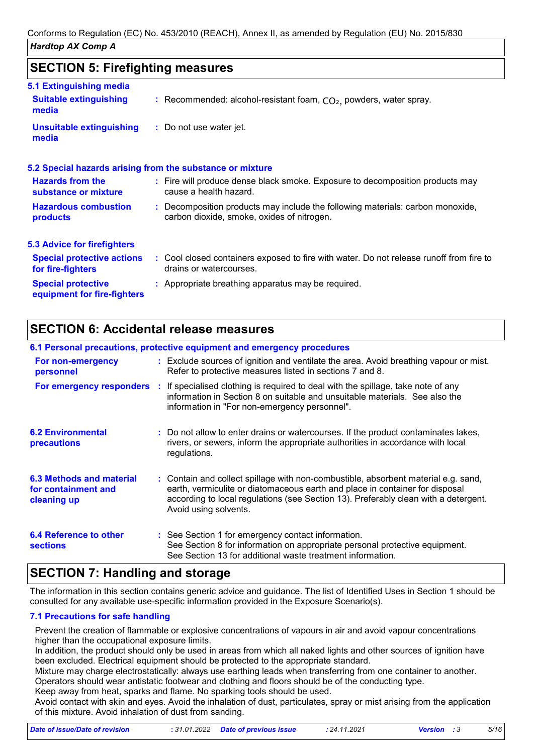### **SECTION 5: Firefighting measures**

| 5.1 Extinguishing media                                  |                                                                                                                              |
|----------------------------------------------------------|------------------------------------------------------------------------------------------------------------------------------|
| <b>Suitable extinguishing</b><br>media                   | : Recommended: alcohol-resistant foam, $CO2$ , powders, water spray.                                                         |
| <b>Unsuitable extinguishing</b><br>media                 | : Do not use water jet.                                                                                                      |
|                                                          | 5.2 Special hazards arising from the substance or mixture                                                                    |
| <b>Hazards from the</b><br>substance or mixture          | : Fire will produce dense black smoke. Exposure to decomposition products may<br>cause a health hazard.                      |
| <b>Hazardous combustion</b><br>products                  | : Decomposition products may include the following materials: carbon monoxide,<br>carbon dioxide, smoke, oxides of nitrogen. |
| <b>5.3 Advice for firefighters</b>                       |                                                                                                                              |
| <b>Special protective actions</b><br>for fire-fighters   | : Cool closed containers exposed to fire with water. Do not release runoff from fire to<br>drains or watercourses.           |
| <b>Special protective</b><br>equipment for fire-fighters | : Appropriate breathing apparatus may be required.                                                                           |
|                                                          |                                                                                                                              |

### **SECTION 6: Accidental release measures**

|                                                                       |  | 6.1 Personal precautions, protective equipment and emergency procedures                                                                                                                                                                                                            |  |  |
|-----------------------------------------------------------------------|--|------------------------------------------------------------------------------------------------------------------------------------------------------------------------------------------------------------------------------------------------------------------------------------|--|--|
| For non-emergency<br>personnel                                        |  | : Exclude sources of ignition and ventilate the area. Avoid breathing vapour or mist.<br>Refer to protective measures listed in sections 7 and 8.                                                                                                                                  |  |  |
|                                                                       |  | <b>For emergency responders</b> : If specialised clothing is required to deal with the spillage, take note of any<br>information in Section 8 on suitable and unsuitable materials. See also the<br>information in "For non-emergency personnel".                                  |  |  |
| <b>6.2 Environmental</b><br>precautions                               |  | : Do not allow to enter drains or watercourses. If the product contaminates lakes,<br>rivers, or sewers, inform the appropriate authorities in accordance with local<br>regulations.                                                                                               |  |  |
| <b>6.3 Methods and material</b><br>for containment and<br>cleaning up |  | : Contain and collect spillage with non-combustible, absorbent material e.g. sand,<br>earth, vermiculite or diatomaceous earth and place in container for disposal<br>according to local regulations (see Section 13). Preferably clean with a detergent.<br>Avoid using solvents. |  |  |
| 6.4 Reference to other<br><b>sections</b>                             |  | : See Section 1 for emergency contact information.<br>See Section 8 for information on appropriate personal protective equipment.<br>See Section 13 for additional waste treatment information.                                                                                    |  |  |

### **SECTION 7: Handling and storage**

The information in this section contains generic advice and guidance. The list of Identified Uses in Section 1 should be consulted for any available use-specific information provided in the Exposure Scenario(s).

### **7.1 Precautions for safe handling**

Prevent the creation of flammable or explosive concentrations of vapours in air and avoid vapour concentrations higher than the occupational exposure limits.

In addition, the product should only be used in areas from which all naked lights and other sources of ignition have been excluded. Electrical equipment should be protected to the appropriate standard.

Mixture may charge electrostatically: always use earthing leads when transferring from one container to another. Operators should wear antistatic footwear and clothing and floors should be of the conducting type.

Keep away from heat, sparks and flame. No sparking tools should be used.

Avoid contact with skin and eyes. Avoid the inhalation of dust, particulates, spray or mist arising from the application of this mixture. Avoid inhalation of dust from sanding.

| Date of issue/Date of revision | : 31.01.2022 Date of previous issue | : 24.11.2021 | <b>Version</b> : 3 | 5/16 |
|--------------------------------|-------------------------------------|--------------|--------------------|------|
|                                |                                     |              |                    |      |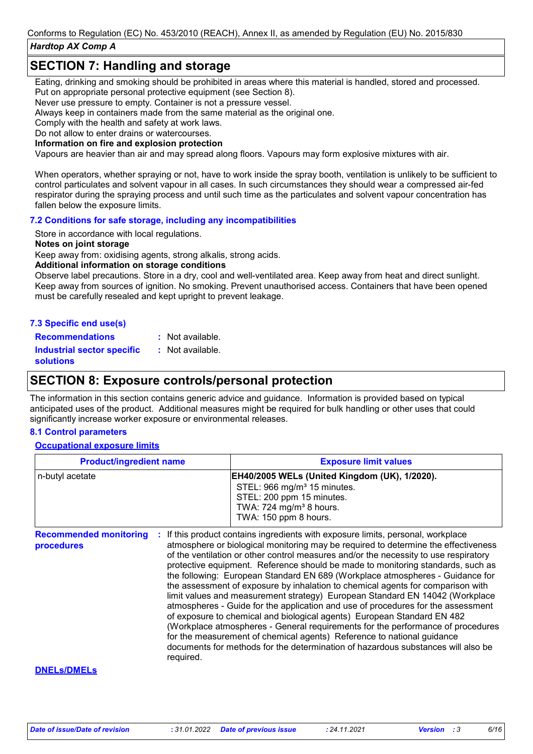### **SECTION 7: Handling and storage**

Eating, drinking and smoking should be prohibited in areas where this material is handled, stored and processed. Put on appropriate personal protective equipment (see Section 8).

Never use pressure to empty. Container is not a pressure vessel.

Always keep in containers made from the same material as the original one.

Comply with the health and safety at work laws.

Do not allow to enter drains or watercourses.

#### **Information on fire and explosion protection**

Vapours are heavier than air and may spread along floors. Vapours may form explosive mixtures with air.

When operators, whether spraying or not, have to work inside the spray booth, ventilation is unlikely to be sufficient to control particulates and solvent vapour in all cases. In such circumstances they should wear a compressed air-fed respirator during the spraying process and until such time as the particulates and solvent vapour concentration has fallen below the exposure limits.

### **7.2 Conditions for safe storage, including any incompatibilities**

Store in accordance with local regulations.

### **Notes on joint storage**

Keep away from: oxidising agents, strong alkalis, strong acids.

#### **Additional information on storage conditions**

Observe label precautions. Store in a dry, cool and well-ventilated area. Keep away from heat and direct sunlight. Keep away from sources of ignition. No smoking. Prevent unauthorised access. Containers that have been opened must be carefully resealed and kept upright to prevent leakage.

### **7.3 Specific end use(s)**

**Recommendations : Industrial sector specific : solutions** Not available. : Not available.

### **SECTION 8: Exposure controls/personal protection**

The information in this section contains generic advice and guidance. Information is provided based on typical anticipated uses of the product. Additional measures might be required for bulk handling or other uses that could significantly increase worker exposure or environmental releases.

### **8.1 Control parameters**

#### **Occupational exposure limits**

| <b>Product/ingredient name</b>              |                 | <b>Exposure limit values</b>                                                                                                                                                                                                                                                                                                                                                                                                                                                                                                                                                                                                                                                                                                                                                                                                                                                                                                                                                                                        |  |  |
|---------------------------------------------|-----------------|---------------------------------------------------------------------------------------------------------------------------------------------------------------------------------------------------------------------------------------------------------------------------------------------------------------------------------------------------------------------------------------------------------------------------------------------------------------------------------------------------------------------------------------------------------------------------------------------------------------------------------------------------------------------------------------------------------------------------------------------------------------------------------------------------------------------------------------------------------------------------------------------------------------------------------------------------------------------------------------------------------------------|--|--|
| n-butyl acetate                             |                 | EH40/2005 WELs (United Kingdom (UK), 1/2020).<br>STEL: 966 mg/m <sup>3</sup> 15 minutes.<br>STEL: 200 ppm 15 minutes.<br>TWA: 724 mg/m <sup>3</sup> 8 hours.<br>TWA: 150 ppm 8 hours.                                                                                                                                                                                                                                                                                                                                                                                                                                                                                                                                                                                                                                                                                                                                                                                                                               |  |  |
| <b>Recommended monitoring</b><br>procedures | ÷.<br>required. | If this product contains ingredients with exposure limits, personal, workplace<br>atmosphere or biological monitoring may be required to determine the effectiveness<br>of the ventilation or other control measures and/or the necessity to use respiratory<br>protective equipment. Reference should be made to monitoring standards, such as<br>the following: European Standard EN 689 (Workplace atmospheres - Guidance for<br>the assessment of exposure by inhalation to chemical agents for comparison with<br>limit values and measurement strategy) European Standard EN 14042 (Workplace<br>atmospheres - Guide for the application and use of procedures for the assessment<br>of exposure to chemical and biological agents) European Standard EN 482<br>(Workplace atmospheres - General requirements for the performance of procedures<br>for the measurement of chemical agents) Reference to national guidance<br>documents for methods for the determination of hazardous substances will also be |  |  |

#### **DNELs/DMELs**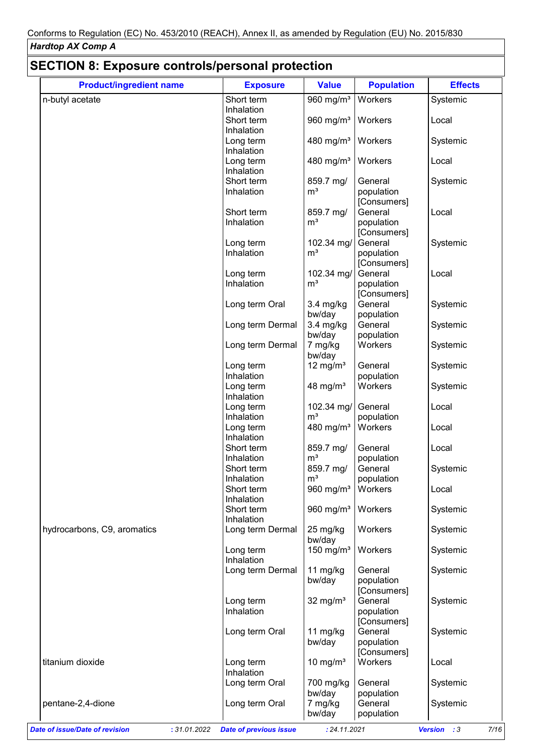| <b>Product/ingredient name</b> | <b>Exposure</b>          | <b>Value</b>                | <b>Population</b>     | <b>Effects</b> |
|--------------------------------|--------------------------|-----------------------------|-----------------------|----------------|
| n-butyl acetate                | Short term               | 960 $mg/m3$                 | Workers               | Systemic       |
|                                | Inhalation               |                             |                       |                |
|                                | Short term               | 960 mg/ $m3$                | Workers               | Local          |
|                                | Inhalation               |                             |                       |                |
|                                | Long term                | 480 mg/ $m3$                | Workers               | Systemic       |
|                                | Inhalation               |                             |                       |                |
|                                | Long term<br>Inhalation  | 480 mg/ $m3$                | Workers               | Local          |
|                                | Short term               | 859.7 mg/                   | General               | Systemic       |
|                                | Inhalation               | m <sup>3</sup>              | population            |                |
|                                |                          |                             | [Consumers]           |                |
|                                | Short term               | 859.7 mg/                   | General               | Local          |
|                                | Inhalation               | m <sup>3</sup>              | population            |                |
|                                |                          |                             | [Consumers]           |                |
|                                | Long term                | 102.34 mg/                  | General               | Systemic       |
|                                | Inhalation               | m <sup>3</sup>              | population            |                |
|                                |                          |                             | [Consumers]           |                |
|                                | Long term                | 102.34 mg/                  | General               | Local          |
|                                | Inhalation               | m <sup>3</sup>              | population            |                |
|                                |                          |                             | [Consumers]           |                |
|                                | Long term Oral           | 3.4 mg/kg                   | General               | Systemic       |
|                                |                          | bw/day                      | population            |                |
|                                | Long term Dermal         | 3.4 mg/kg                   | General               | Systemic       |
|                                |                          | bw/day                      | population            |                |
|                                | Long term Dermal         | 7 mg/kg                     | Workers               | Systemic       |
|                                |                          | bw/day                      |                       |                |
|                                | Long term                | 12 mg/m $3$                 | General               | Systemic       |
|                                | Inhalation               |                             | population            |                |
|                                | Long term                | 48 mg/ $m3$                 | Workers               | Systemic       |
|                                | Inhalation               |                             |                       |                |
|                                | Long term                | 102.34 mg/                  | General               | Local          |
|                                | Inhalation               | m <sup>3</sup>              | population            |                |
|                                | Long term                | 480 mg/ $m3$                | Workers               | Local          |
|                                | Inhalation               |                             |                       |                |
|                                | Short term               | 859.7 mg/                   | General               | Local          |
|                                | Inhalation<br>Short term | m <sup>3</sup><br>859.7 mg/ | population<br>General | Systemic       |
|                                | Inhalation               | m <sup>3</sup>              | population            |                |
|                                | Short term               | 960 $mg/m3$                 | Workers               | Local          |
|                                | Inhalation               |                             |                       |                |
|                                | Short term               | 960 mg/ $m3$                | Workers               | Systemic       |
|                                | Inhalation               |                             |                       |                |
| hydrocarbons, C9, aromatics    | Long term Dermal         | 25 mg/kg                    | Workers               | Systemic       |
|                                |                          | bw/day                      |                       |                |
|                                | Long term                | 150 mg/ $m3$                | Workers               | Systemic       |
|                                | Inhalation               |                             |                       |                |
|                                | Long term Dermal         | 11 mg/kg                    | General               | Systemic       |
|                                |                          | bw/day                      | population            |                |
|                                |                          |                             | [Consumers]           |                |
|                                | Long term                | 32 mg/ $m3$                 | General               | Systemic       |
|                                | Inhalation               |                             | population            |                |
|                                |                          |                             | [Consumers]           |                |
|                                | Long term Oral           | 11 mg/kg                    | General               | Systemic       |
|                                |                          | bw/day                      | population            |                |
|                                |                          |                             | [Consumers]           |                |
| titanium dioxide               | Long term                | 10 mg/ $m3$                 | Workers               | Local          |
|                                | Inhalation               |                             |                       |                |
|                                | Long term Oral           | 700 mg/kg                   | General               | Systemic       |
|                                |                          | bw/day                      | population            |                |
|                                | Long term Oral           | 7 mg/kg                     | General               | Systemic       |
| pentane-2,4-dione              |                          | bw/day                      | population            |                |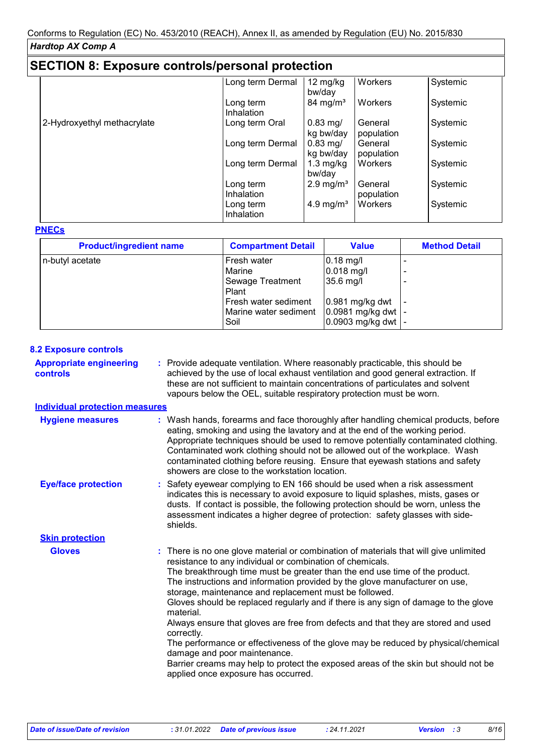## **SECTION 8: Exposure controls/personal protection**

|                             | Long term Dermal        | 12 mg/kg<br>bw/day                 | <b>Workers</b>        | Systemic |
|-----------------------------|-------------------------|------------------------------------|-----------------------|----------|
|                             | Long term<br>Inhalation | 84 mg/m <sup>3</sup>               | Workers               | Systemic |
| 2-Hydroxyethyl methacrylate | Long term Oral          | $0.83$ mg/<br>kg bw/day            | General<br>population | Systemic |
|                             | Long term Dermal        | $0.83 \,\mathrm{mg}/$<br>kg bw/day | General<br>population | Systemic |
|                             | Long term Dermal        | $1.3 \text{ mg/kg}$<br>bw/day      | Workers               | Systemic |
|                             | Long term<br>Inhalation | $2.9 \text{ mg/m}^3$               | General<br>population | Systemic |
|                             | Long term<br>Inhalation | 4.9 mg/m <sup>3</sup>              | Workers               | Systemic |
|                             |                         |                                    |                       |          |

#### **PNECs**

| <b>Product/ingredient name</b> | <b>Compartment Detail</b> | <b>Value</b>           | <b>Method Detail</b> |
|--------------------------------|---------------------------|------------------------|----------------------|
| n-butyl acetate                | Fresh water               | $ 0.18 \text{ mg}/I $  |                      |
|                                | Marine                    | $0.018$ mg/l           |                      |
|                                | Sewage Treatment          | $35.6$ mg/l            |                      |
|                                | Plant                     |                        |                      |
|                                | Fresh water sediment      | $0.981$ mg/kg dwt      |                      |
|                                | Marine water sediment     | 0.0981 mg/kg dwt   -   |                      |
|                                | Soil                      | $0.0903$ mg/kg dwt   - |                      |

### **8.2 Exposure controls**

Provide adequate ventilation. Where reasonably practicable, this should be **:** achieved by the use of local exhaust ventilation and good general extraction. If these are not sufficient to maintain concentrations of particulates and solvent vapours below the OEL, suitable respiratory protection must be worn. **Appropriate engineering controls**

### **Individual protection measures**

| <b>Hygiene measures</b>    | : Wash hands, forearms and face thoroughly after handling chemical products, before<br>eating, smoking and using the lavatory and at the end of the working period.<br>Appropriate techniques should be used to remove potentially contaminated clothing.<br>Contaminated work clothing should not be allowed out of the workplace. Wash<br>contaminated clothing before reusing. Ensure that eyewash stations and safety<br>showers are close to the workstation location.                                                                                                                                                                                                                                                                                                                                                         |
|----------------------------|-------------------------------------------------------------------------------------------------------------------------------------------------------------------------------------------------------------------------------------------------------------------------------------------------------------------------------------------------------------------------------------------------------------------------------------------------------------------------------------------------------------------------------------------------------------------------------------------------------------------------------------------------------------------------------------------------------------------------------------------------------------------------------------------------------------------------------------|
| <b>Eye/face protection</b> | : Safety eyewear complying to EN 166 should be used when a risk assessment<br>indicates this is necessary to avoid exposure to liquid splashes, mists, gases or<br>dusts. If contact is possible, the following protection should be worn, unless the<br>assessment indicates a higher degree of protection: safety glasses with side-<br>shields.                                                                                                                                                                                                                                                                                                                                                                                                                                                                                  |
| <b>Skin protection</b>     |                                                                                                                                                                                                                                                                                                                                                                                                                                                                                                                                                                                                                                                                                                                                                                                                                                     |
| <b>Gloves</b>              | : There is no one glove material or combination of materials that will give unlimited<br>resistance to any individual or combination of chemicals.<br>The breakthrough time must be greater than the end use time of the product.<br>The instructions and information provided by the glove manufacturer on use,<br>storage, maintenance and replacement must be followed.<br>Gloves should be replaced regularly and if there is any sign of damage to the glove<br>material.<br>Always ensure that gloves are free from defects and that they are stored and used<br>correctly.<br>The performance or effectiveness of the glove may be reduced by physical/chemical<br>damage and poor maintenance.<br>Barrier creams may help to protect the exposed areas of the skin but should not be<br>applied once exposure has occurred. |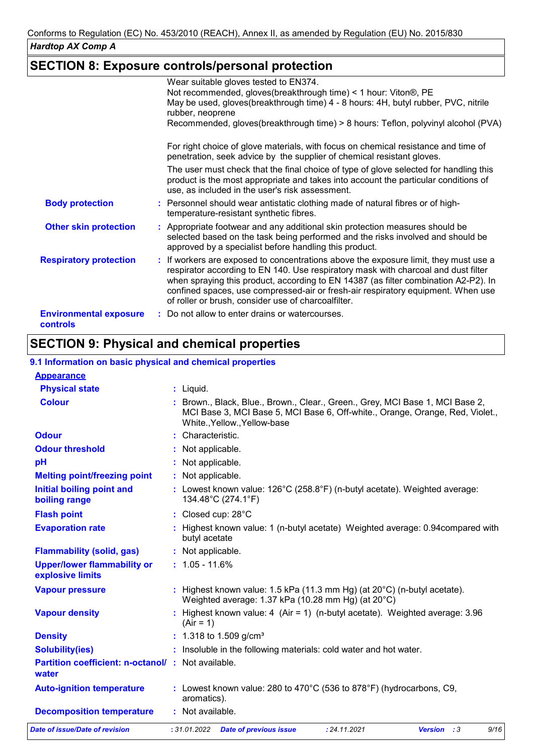# **SECTION 8: Exposure controls/personal protection**

|                                                  | Wear suitable gloves tested to EN374.                                                                                                                                                                                                                                                                                                                                                                        |
|--------------------------------------------------|--------------------------------------------------------------------------------------------------------------------------------------------------------------------------------------------------------------------------------------------------------------------------------------------------------------------------------------------------------------------------------------------------------------|
|                                                  | Not recommended, gloves(breakthrough time) < 1 hour: Viton®, PE                                                                                                                                                                                                                                                                                                                                              |
|                                                  | May be used, gloves(breakthrough time) 4 - 8 hours: 4H, butyl rubber, PVC, nitrile                                                                                                                                                                                                                                                                                                                           |
|                                                  | rubber, neoprene                                                                                                                                                                                                                                                                                                                                                                                             |
|                                                  | Recommended, gloves(breakthrough time) > 8 hours: Teflon, polyvinyl alcohol (PVA)                                                                                                                                                                                                                                                                                                                            |
|                                                  | For right choice of glove materials, with focus on chemical resistance and time of<br>penetration, seek advice by the supplier of chemical resistant gloves.                                                                                                                                                                                                                                                 |
|                                                  | The user must check that the final choice of type of glove selected for handling this<br>product is the most appropriate and takes into account the particular conditions of<br>use, as included in the user's risk assessment.                                                                                                                                                                              |
| <b>Body protection</b>                           | : Personnel should wear antistatic clothing made of natural fibres or of high-<br>temperature-resistant synthetic fibres.                                                                                                                                                                                                                                                                                    |
| <b>Other skin protection</b>                     | : Appropriate footwear and any additional skin protection measures should be<br>selected based on the task being performed and the risks involved and should be<br>approved by a specialist before handling this product.                                                                                                                                                                                    |
| <b>Respiratory protection</b>                    | : If workers are exposed to concentrations above the exposure limit, they must use a<br>respirator according to EN 140. Use respiratory mask with charcoal and dust filter<br>when spraying this product, according to EN 14387 (as filter combination A2-P2). In<br>confined spaces, use compressed-air or fresh-air respiratory equipment. When use<br>of roller or brush, consider use of charcoalfilter. |
| <b>Environmental exposure</b><br><b>controls</b> | : Do not allow to enter drains or watercourses.                                                                                                                                                                                                                                                                                                                                                              |

# **SECTION 9: Physical and chemical properties**

### **9.1 Information on basic physical and chemical properties**

| <b>Appearance</b>                                                 |                                                                                                                                                                                                |
|-------------------------------------------------------------------|------------------------------------------------------------------------------------------------------------------------------------------------------------------------------------------------|
| <b>Physical state</b>                                             | : Liquid.                                                                                                                                                                                      |
| <b>Colour</b>                                                     | : Brown., Black, Blue., Brown., Clear., Green., Grey, MCI Base 1, MCI Base 2,<br>MCI Base 3, MCI Base 5, MCI Base 6, Off-white., Orange, Orange, Red, Violet.,<br>White., Yellow., Yellow-base |
| <b>Odour</b>                                                      | : Characteristic.                                                                                                                                                                              |
| <b>Odour threshold</b>                                            | : Not applicable.                                                                                                                                                                              |
| pH                                                                | : Not applicable.                                                                                                                                                                              |
| <b>Melting point/freezing point</b>                               | : Not applicable.                                                                                                                                                                              |
| <b>Initial boiling point and</b><br>boiling range                 | : Lowest known value: $126^{\circ}$ C (258.8 $^{\circ}$ F) (n-butyl acetate). Weighted average:<br>134.48°C (274.1°F)                                                                          |
| <b>Flash point</b>                                                | : Closed cup: 28°C                                                                                                                                                                             |
| <b>Evaporation rate</b>                                           | : Highest known value: 1 (n-butyl acetate) Weighted average: 0.94 compared with<br>butyl acetate                                                                                               |
| <b>Flammability (solid, gas)</b>                                  | : Not applicable.                                                                                                                                                                              |
| <b>Upper/lower flammability or</b><br>explosive limits            | $: 1.05 - 11.6%$                                                                                                                                                                               |
| <b>Vapour pressure</b>                                            | : Highest known value: 1.5 kPa (11.3 mm Hg) (at $20^{\circ}$ C) (n-butyl acetate).<br>Weighted average: 1.37 kPa (10.28 mm Hg) (at 20°C)                                                       |
| <b>Vapour density</b>                                             | : Highest known value: 4 $(Air = 1)$ (n-butyl acetate). Weighted average: 3.96<br>$(Air = 1)$                                                                                                  |
| <b>Density</b>                                                    | : 1.318 to 1.509 g/cm <sup>3</sup>                                                                                                                                                             |
| <b>Solubility(ies)</b>                                            | : Insoluble in the following materials: cold water and hot water.                                                                                                                              |
| <b>Partition coefficient: n-octanol/: Not available.</b><br>water |                                                                                                                                                                                                |
| <b>Auto-ignition temperature</b>                                  | : Lowest known value: 280 to 470 $^{\circ}$ C (536 to 878 $^{\circ}$ F) (hydrocarbons, C9,<br>aromatics).                                                                                      |
| <b>Decomposition temperature</b>                                  | : Not available.                                                                                                                                                                               |
| Date of issue/Date of revision                                    | : 31.01.2022 Date of previous issue<br>: 24.11.2021<br><b>Version</b> : 3<br>9/16                                                                                                              |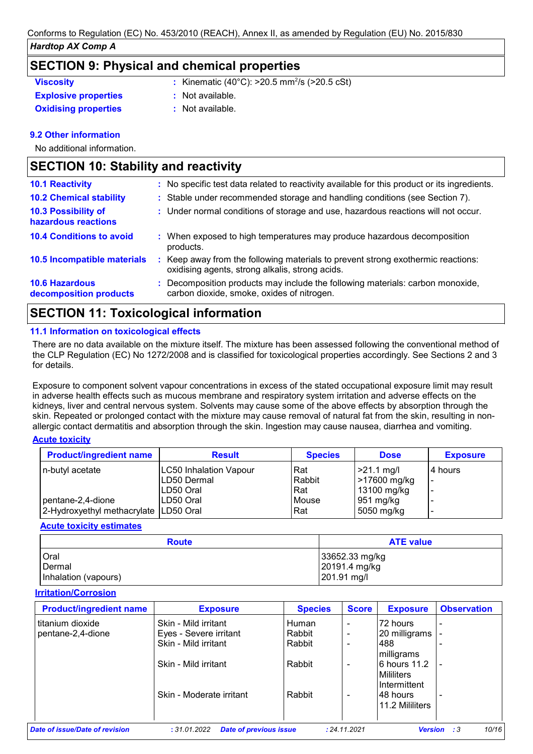### **SECTION 9: Physical and chemical properties**

**Viscosity** Kinematic (40°C): >20.5 mm<sup>2</sup> /s (>20.5 cSt) **:**

**Explosive properties :**

: Not available. **Oxidising properties :** Not available.

### **9.2 Other information**

No additional information.

| <b>SECTION 10: Stability and reactivity</b>       |                                                                                                                                         |  |  |
|---------------------------------------------------|-----------------------------------------------------------------------------------------------------------------------------------------|--|--|
| <b>10.1 Reactivity</b>                            | : No specific test data related to reactivity available for this product or its ingredients.                                            |  |  |
| <b>10.2 Chemical stability</b>                    | : Stable under recommended storage and handling conditions (see Section 7).                                                             |  |  |
| <b>10.3 Possibility of</b><br>hazardous reactions | : Under normal conditions of storage and use, hazardous reactions will not occur.                                                       |  |  |
| <b>10.4 Conditions to avoid</b>                   | : When exposed to high temperatures may produce hazardous decomposition<br>products.                                                    |  |  |
| 10.5 Incompatible materials                       | Keep away from the following materials to prevent strong exothermic reactions:<br>÷.<br>oxidising agents, strong alkalis, strong acids. |  |  |
| <b>10.6 Hazardous</b><br>decomposition products   | : Decomposition products may include the following materials: carbon monoxide,<br>carbon dioxide, smoke, oxides of nitrogen.            |  |  |
|                                                   |                                                                                                                                         |  |  |

### **SECTION 11: Toxicological information**

### **11.1 Information on toxicological effects**

There are no data available on the mixture itself. The mixture has been assessed following the conventional method of the CLP Regulation (EC) No 1272/2008 and is classified for toxicological properties accordingly. See Sections 2 and 3 for details.

Exposure to component solvent vapour concentrations in excess of the stated occupational exposure limit may result in adverse health effects such as mucous membrane and respiratory system irritation and adverse effects on the kidneys, liver and central nervous system. Solvents may cause some of the above effects by absorption through the skin. Repeated or prolonged contact with the mixture may cause removal of natural fat from the skin, resulting in nonallergic contact dermatitis and absorption through the skin. Ingestion may cause nausea, diarrhea and vomiting.

### **Acute toxicity**

| <b>Product/ingredient name</b>          | <b>Result</b>                 | <b>Species</b> | <b>Dose</b>  | <b>Exposure</b> |
|-----------------------------------------|-------------------------------|----------------|--------------|-----------------|
| n-butyl acetate                         | <b>LC50 Inhalation Vapour</b> | Rat            | >21.1 mg/l   | 4 hours         |
|                                         | LD50 Dermal                   | <b>Rabbit</b>  | >17600 mg/kg |                 |
|                                         | LD50 Oral                     | Rat            | 13100 mg/kg  |                 |
| pentane-2,4-dione                       | LD50 Oral                     | Mouse          | 951 mg/kg    |                 |
| 2-Hydroxyethyl methacrylate   LD50 Oral |                               | Rat            | 5050 mg/kg   |                 |

### **Acute toxicity estimates**

| <b>Route</b>         | <b>ATE value</b> |
|----------------------|------------------|
| Oral                 | 33652.33 mg/kg   |
| Dermal               | 20191.4 mg/kg    |
| Inhalation (vapours) | 201.91 mg/l      |

#### **Irritation/Corrosion**

| <b>Product/ingredient name</b> | <b>Exposure</b>                              | <b>Species</b> | <b>Score</b>             | <b>Exposure</b>                               | <b>Observation</b>  |
|--------------------------------|----------------------------------------------|----------------|--------------------------|-----------------------------------------------|---------------------|
| titanium dioxide               | Skin - Mild irritant                         | <b>Human</b>   | $\overline{a}$           | 72 hours                                      |                     |
| pentane-2,4-dione              | Eyes - Severe irritant                       | Rabbit         | $\overline{a}$           | 20 milligrams                                 |                     |
|                                | Skin - Mild irritant                         | Rabbit         | $\overline{\phantom{0}}$ | 1488<br>milligrams                            |                     |
|                                | Skin - Mild irritant                         | Rabbit         | $\blacksquare$           | 6 hours 11.2<br><b>Mililiters</b>             | $\blacksquare$      |
|                                | Skin - Moderate irritant                     | Rabbit         | $\overline{a}$           | IIntermittent<br>I48 hours<br>11.2 Mililiters |                     |
| Date of issue/Date of revision | <b>Date of previous issue</b><br>:31.01.2022 |                | : 24.11.2021             | <b>Version</b>                                | 10/16<br>$\cdot$ :3 |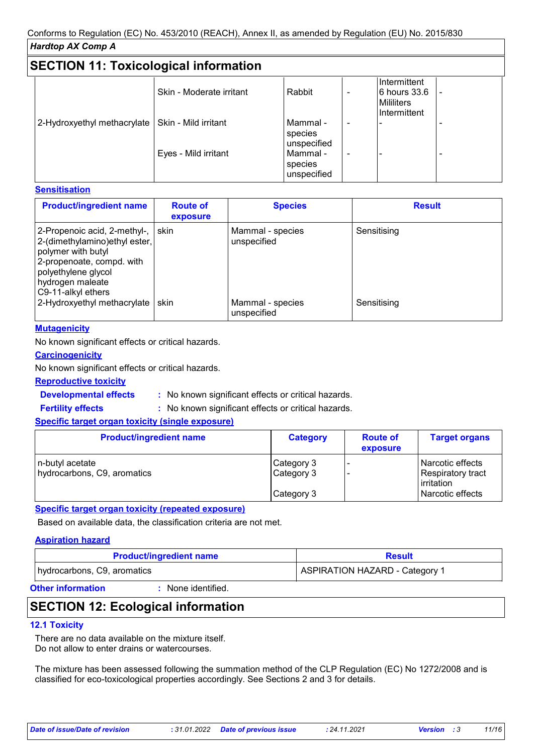### **SECTION 11: Toxicological information**

|                             | Skin - Moderate irritant | Rabbit                             |   | Intermittent<br>6 hours 33.6<br><b>Mililiters</b><br>Intermittent |  |
|-----------------------------|--------------------------|------------------------------------|---|-------------------------------------------------------------------|--|
| 2-Hydroxyethyl methacrylate | Skin - Mild irritant     | Mammal -<br>species<br>unspecified | - |                                                                   |  |
|                             | Eyes - Mild irritant     | Mammal -<br>species<br>unspecified | - |                                                                   |  |

### **Sensitisation**

| <b>Product/ingredient name</b>                                                                                                                                                    | <b>Route of</b><br>exposure | <b>Species</b>                  | <b>Result</b> |
|-----------------------------------------------------------------------------------------------------------------------------------------------------------------------------------|-----------------------------|---------------------------------|---------------|
| 2-Propenoic acid, 2-methyl-,<br>2-(dimethylamino)ethyl ester,<br>polymer with butyl<br>2-propenoate, compd. with<br>polyethylene glycol<br>hydrogen maleate<br>C9-11-alkyl ethers | skin                        | Mammal - species<br>unspecified | Sensitising   |
| 2-Hydroxyethyl methacrylate                                                                                                                                                       | skin                        | Mammal - species<br>unspecified | Sensitising   |

### **Mutagenicity**

No known significant effects or critical hazards.

### **Carcinogenicity**

No known significant effects or critical hazards.

### **Reproductive toxicity**

**Developmental effects :**

: No known significant effects or critical hazards.

**Fertility effects :**

: No known significant effects or critical hazards.

### **Specific target organ toxicity (single exposure)**

| <b>Product/ingredient name</b>                 | <b>Category</b>          | <b>Route of</b><br>exposure | <b>Target organs</b>                                  |
|------------------------------------------------|--------------------------|-----------------------------|-------------------------------------------------------|
| n-butyl acetate<br>hydrocarbons, C9, aromatics | Category 3<br>Category 3 |                             | l Narcotic effects<br>Respiratory tract<br>irritation |
|                                                | Category 3               |                             | Narcotic effects                                      |

### **Specific target organ toxicity (repeated exposure)**

Based on available data, the classification criteria are not met.

### **Aspiration hazard**

| <b>Product/ingredient name</b> |                  | Result |                                       |
|--------------------------------|------------------|--------|---------------------------------------|
| hydrocarbons, C9, aromatics    |                  |        | <b>ASPIRATION HAZARD - Category 1</b> |
| Other information              | None identified. |        |                                       |

# **Other information :**

### **SECTION 12: Ecological information**

### **12.1 Toxicity**

There are no data available on the mixture itself. Do not allow to enter drains or watercourses.

The mixture has been assessed following the summation method of the CLP Regulation (EC) No 1272/2008 and is classified for eco-toxicological properties accordingly. See Sections 2 and 3 for details.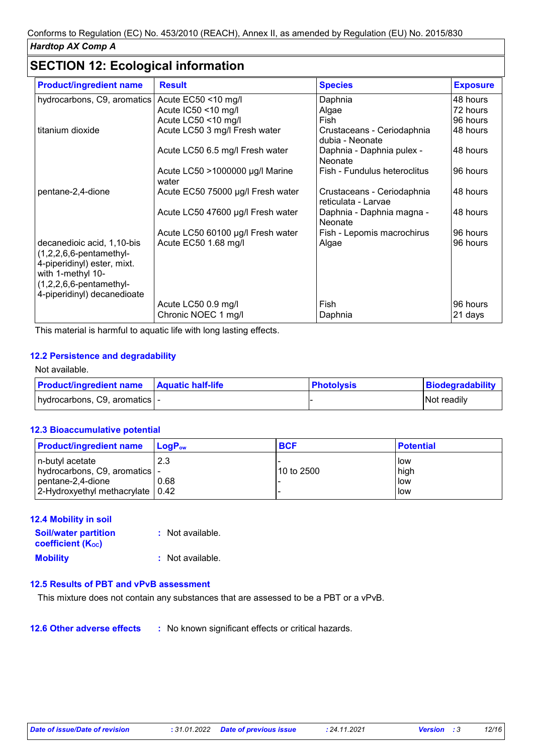# **SECTION 12: Ecological information**

| <b>Product/ingredient name</b>                                                                                                                                            | <b>Result</b>                            | <b>Species</b>                                    | <b>Exposure</b> |
|---------------------------------------------------------------------------------------------------------------------------------------------------------------------------|------------------------------------------|---------------------------------------------------|-----------------|
| hydrocarbons, C9, aromatics                                                                                                                                               | Acute EC50 <10 mg/l                      | Daphnia                                           | 48 hours        |
|                                                                                                                                                                           | Acute IC50 <10 mg/l                      | Algae                                             | 72 hours        |
|                                                                                                                                                                           | Acute LC50 <10 mg/l                      | Fish                                              | 96 hours        |
| titanium dioxide                                                                                                                                                          | Acute LC50 3 mg/l Fresh water            | Crustaceans - Ceriodaphnia<br>dubia - Neonate     | 48 hours        |
|                                                                                                                                                                           | Acute LC50 6.5 mg/l Fresh water          | Daphnia - Daphnia pulex -<br>Neonate              | 48 hours        |
|                                                                                                                                                                           | Acute LC50 >1000000 µg/l Marine<br>water | Fish - Fundulus heteroclitus                      | 96 hours        |
| pentane-2,4-dione                                                                                                                                                         | Acute EC50 75000 µg/l Fresh water        | Crustaceans - Ceriodaphnia<br>reticulata - Larvae | 48 hours        |
|                                                                                                                                                                           | Acute LC50 47600 µg/l Fresh water        | Daphnia - Daphnia magna -<br>Neonate              | 48 hours        |
|                                                                                                                                                                           | Acute LC50 60100 µg/l Fresh water        | Fish - Lepomis macrochirus                        | 96 hours        |
| decanedioic acid, 1,10-bis<br>$(1,2,2,6,6$ -pentamethyl-<br>4-piperidinyl) ester, mixt.<br>with 1-methyl 10-<br>$(1,2,2,6,6$ -pentamethyl-<br>4-piperidinyl) decanedioate | Acute EC50 1.68 mg/l                     | Algae                                             | 96 hours        |
|                                                                                                                                                                           | Acute LC50 0.9 mg/l                      | Fish                                              | 96 hours        |
|                                                                                                                                                                           | Chronic NOEC 1 mg/l                      | Daphnia                                           | 21 days         |

This material is harmful to aquatic life with long lasting effects.

### **12.2 Persistence and degradability**

### Not available.

| <b>Product/ingredient name</b> Aquatic half-life | <b>Photolysis</b> | Biodegradability |
|--------------------------------------------------|-------------------|------------------|
| hydrocarbons, C9, aromatics   -                  |                   | INot readily     |

### **12.3 Bioaccumulative potential**

| <b>Product/ingredient name</b>                | <b>LogP</b> <sub>ow</sub> | <b>BCF</b> | <b>Potential</b> |
|-----------------------------------------------|---------------------------|------------|------------------|
| n-butyl acetate                               | 2.3                       |            | <b>I</b> low     |
| hydrocarbons, C9, aromatics   -               |                           | 10 to 2500 | high             |
| pentane-2,4-dione                             | 0.68                      |            | low              |
| $ 2-Hydroxyethyl$ methacrylate $ 0.42\rangle$ |                           |            | l low            |

### **12.4 Mobility in soil**

| <b>Soil/water partition</b><br><b>coefficient (Koc)</b> | : Not available. |
|---------------------------------------------------------|------------------|
| <b>Mobility</b>                                         | : Not available. |

### **12.5 Results of PBT and vPvB assessment**

This mixture does not contain any substances that are assessed to be a PBT or a vPvB.

**12.6 Other adverse effects** : No known significant effects or critical hazards.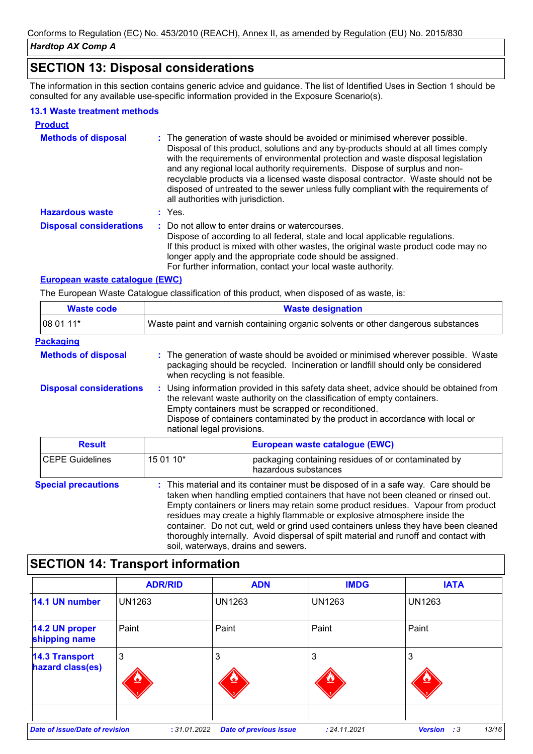### **SECTION 13: Disposal considerations**

The information in this section contains generic advice and guidance. The list of Identified Uses in Section 1 should be consulted for any available use-specific information provided in the Exposure Scenario(s).

### **13.1 Waste treatment methods**

| <b>Product</b>                 |                                                                                                                                                                                                                                                                                                                                                                                                                                                                                                                                                      |
|--------------------------------|------------------------------------------------------------------------------------------------------------------------------------------------------------------------------------------------------------------------------------------------------------------------------------------------------------------------------------------------------------------------------------------------------------------------------------------------------------------------------------------------------------------------------------------------------|
| <b>Methods of disposal</b>     | : The generation of waste should be avoided or minimised wherever possible.<br>Disposal of this product, solutions and any by-products should at all times comply<br>with the requirements of environmental protection and waste disposal legislation<br>and any regional local authority requirements. Dispose of surplus and non-<br>recyclable products via a licensed waste disposal contractor. Waste should not be<br>disposed of untreated to the sewer unless fully compliant with the requirements of<br>all authorities with jurisdiction. |
| <b>Hazardous waste</b>         | $:$ Yes.                                                                                                                                                                                                                                                                                                                                                                                                                                                                                                                                             |
| <b>Disposal considerations</b> | : Do not allow to enter drains or watercourses.<br>Dispose of according to all federal, state and local applicable regulations.<br>If this product is mixed with other wastes, the original waste product code may no<br>longer apply and the appropriate code should be assigned.<br>For further information, contact your local waste authority.                                                                                                                                                                                                   |

### **European waste catalogue (EWC)**

The European Waste Catalogue classification of this product, when disposed of as waste, is:

| <b>Waste code</b>              | <b>Waste designation</b>                                                                                                                                                                                                                                                                                                                |                                                                                                                                                                                                          |  |  |
|--------------------------------|-----------------------------------------------------------------------------------------------------------------------------------------------------------------------------------------------------------------------------------------------------------------------------------------------------------------------------------------|----------------------------------------------------------------------------------------------------------------------------------------------------------------------------------------------------------|--|--|
| 08 01 11*                      | Waste paint and varnish containing organic solvents or other dangerous substances                                                                                                                                                                                                                                                       |                                                                                                                                                                                                          |  |  |
| <b>Packaging</b>               |                                                                                                                                                                                                                                                                                                                                         |                                                                                                                                                                                                          |  |  |
| <b>Methods of disposal</b>     |                                                                                                                                                                                                                                                                                                                                         | : The generation of waste should be avoided or minimised wherever possible. Waste<br>packaging should be recycled. Incineration or landfill should only be considered<br>when recycling is not feasible. |  |  |
| <b>Disposal considerations</b> | : Using information provided in this safety data sheet, advice should be obtained from<br>the relevant waste authority on the classification of empty containers.<br>Empty containers must be scrapped or reconditioned.<br>Dispose of containers contaminated by the product in accordance with local or<br>national legal provisions. |                                                                                                                                                                                                          |  |  |
| <b>Result</b>                  |                                                                                                                                                                                                                                                                                                                                         | European waste catalogue (EWC)                                                                                                                                                                           |  |  |
| <b>CEPE Guidelines</b>         | 15 01 10*                                                                                                                                                                                                                                                                                                                               | packaging containing residues of or contaminated by<br>hazardous substances                                                                                                                              |  |  |
| <b>Special precautions</b>     |                                                                                                                                                                                                                                                                                                                                         | : This material and its container must be disposed of in a safe way. Care should be<br>taken when handling emptied containers that have not been cleaned or rinsed out.                                  |  |  |

Empty containers or liners may retain some product residues. Vapour from product residues may create a highly flammable or explosive atmosphere inside the container. Do not cut, weld or grind used containers unless they have been cleaned thoroughly internally. Avoid dispersal of spilt material and runoff and contact with soil, waterways, drains and sewers.

## **SECTION 14: Transport information**

|                                           | <b>ADR/RID</b> | <b>ADN</b>                    | <b>IMDG</b>   | <b>IATA</b>                 |
|-------------------------------------------|----------------|-------------------------------|---------------|-----------------------------|
| 14.1 UN number                            | <b>UN1263</b>  | <b>UN1263</b>                 | <b>UN1263</b> | UN1263                      |
| 14.2 UN proper<br>shipping name           | Paint          | Paint                         | Paint         | Paint                       |
| <b>14.3 Transport</b><br>hazard class(es) | 3              | 3                             | 3             | 3                           |
|                                           |                |                               |               |                             |
| <b>Date of issue/Date of revision</b>     | : 31.01.2022   | <b>Date of previous issue</b> | : 24.11.2021  | 13/16<br><b>Version</b> : 3 |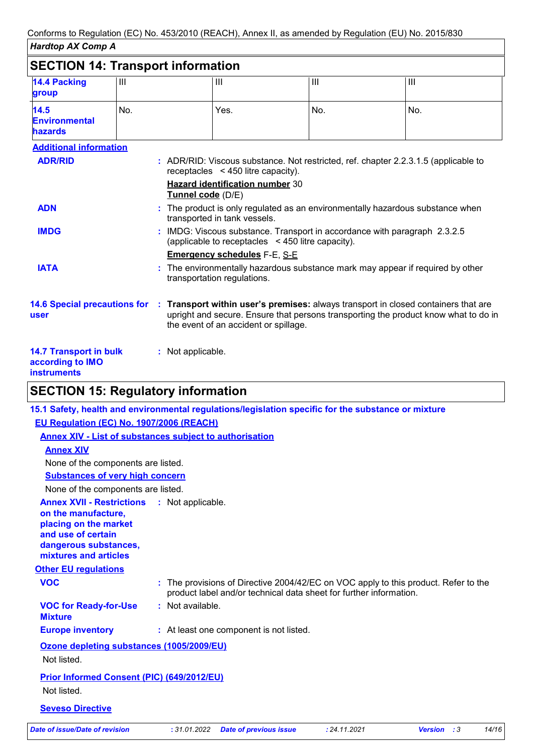| $11919100$ and $20110$ and $4$                                          |                                                             |                                                                                                             |                                                                                                                                                                                                                  |                                         |                                                                              |                |  |                                                                                     |
|-------------------------------------------------------------------------|-------------------------------------------------------------|-------------------------------------------------------------------------------------------------------------|------------------------------------------------------------------------------------------------------------------------------------------------------------------------------------------------------------------|-----------------------------------------|------------------------------------------------------------------------------|----------------|--|-------------------------------------------------------------------------------------|
| <b>SECTION 14: Transport information</b>                                |                                                             |                                                                                                             |                                                                                                                                                                                                                  |                                         |                                                                              |                |  |                                                                                     |
| <b>14.4 Packing</b><br>group                                            | $\mathbf{III}$                                              |                                                                                                             |                                                                                                                                                                                                                  | Ш                                       |                                                                              | $\mathbf{III}$ |  | $\mathbf{III}$                                                                      |
| 14.5<br><b>Environmental</b><br><b>hazards</b>                          | No.                                                         |                                                                                                             |                                                                                                                                                                                                                  | Yes.                                    |                                                                              | No.            |  | No.                                                                                 |
| <b>Additional information</b>                                           |                                                             |                                                                                                             |                                                                                                                                                                                                                  |                                         |                                                                              |                |  |                                                                                     |
| <b>ADR/RID</b>                                                          |                                                             |                                                                                                             |                                                                                                                                                                                                                  | receptacles $\leq$ 450 litre capacity). |                                                                              |                |  | : ADR/RID: Viscous substance. Not restricted, ref. chapter 2.2.3.1.5 (applicable to |
|                                                                         | <b>Hazard identification number 30</b><br>Tunnel code (D/E) |                                                                                                             |                                                                                                                                                                                                                  |                                         |                                                                              |                |  |                                                                                     |
| <b>ADN</b>                                                              |                                                             | transported in tank vessels.                                                                                |                                                                                                                                                                                                                  |                                         | The product is only regulated as an environmentally hazardous substance when |                |  |                                                                                     |
| <b>IMDG</b>                                                             |                                                             |                                                                                                             | : IMDG: Viscous substance. Transport in accordance with paragraph 2.3.2.5<br>(applicable to receptacles <450 litre capacity).                                                                                    |                                         |                                                                              |                |  |                                                                                     |
|                                                                         |                                                             |                                                                                                             |                                                                                                                                                                                                                  | <b>Emergency schedules F-E, S-E</b>     |                                                                              |                |  |                                                                                     |
| <b>IATA</b>                                                             |                                                             | The environmentally hazardous substance mark may appear if required by other<br>transportation regulations. |                                                                                                                                                                                                                  |                                         |                                                                              |                |  |                                                                                     |
| <b>14.6 Special precautions for</b><br>user                             |                                                             | ÷                                                                                                           | Transport within user's premises: always transport in closed containers that are<br>upright and secure. Ensure that persons transporting the product know what to do in<br>the event of an accident or spillage. |                                         |                                                                              |                |  |                                                                                     |
| <b>14.7 Transport in bulk</b><br>according to IMO<br><b>instruments</b> | : Not applicable.                                           |                                                                                                             |                                                                                                                                                                                                                  |                                         |                                                                              |                |  |                                                                                     |

## **SECTION 15: Regulatory information**

**VOC for Ready-for-Use Mixture :** Not available. **15.1 Safety, health and environmental regulations/legislation specific for the substance or mixture Other EU regulations Annex XVII - Restrictions on the manufacture, placing on the market and use of certain dangerous substances, mixtures and articles** : Not applicable. **Europe inventory :** At least one component is not listed. **EU Regulation (EC) No. 1907/2006 (REACH) Annex XIV - List of substances subject to authorisation Annex XIV Substances of very high concern** None of the components are listed. None of the components are listed. **VOC :** The provisions of Directive 2004/42/EC on VOC apply to this product. Refer to the product label and/or technical data sheet for further information. **Ozone depleting substances (1005/2009/EU)** Not listed. **Prior Informed Consent (PIC) (649/2012/EU)**

Not listed.

### **Seveso Directive**

*Date of issue/Date of revision* **:** *31.01.2022 Date of previous issue : 24.11.2021 Version : 3 14/16*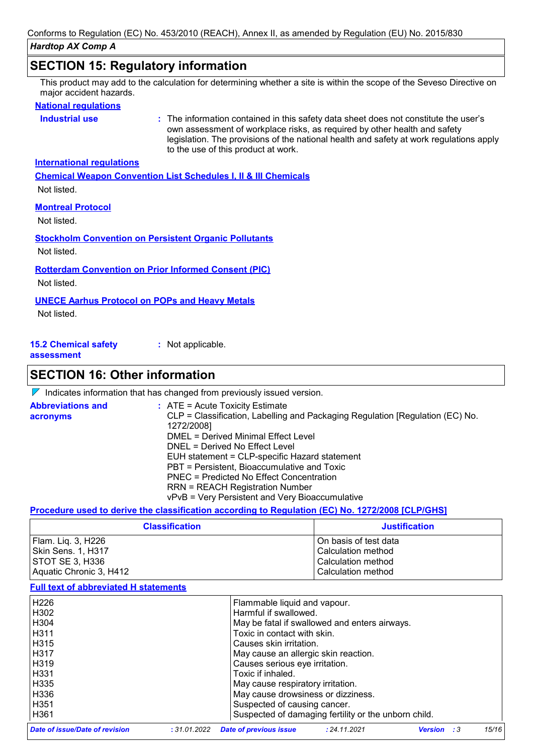### **SECTION 15: Regulatory information**

This product may add to the calculation for determining whether a site is within the scope of the Seveso Directive on major accident hazards.

### **National regulations**

**Industrial use <b>:** The information contained in this safety data sheet does not constitute the user's own assessment of workplace risks, as required by other health and safety legislation. The provisions of the national health and safety at work regulations apply to the use of this product at work.

### **International regulations**

**Chemical Weapon Convention List Schedules I, II & III Chemicals** Not listed.

### **Montreal Protocol**

Not listed.

**Stockholm Convention on Persistent Organic Pollutants** Not listed.

### **Rotterdam Convention on Prior Informed Consent (PIC)**

Not listed.

### **UNECE Aarhus Protocol on POPs and Heavy Metals**

Not listed.

#### **15.2 Chemical safety assessment :** Not applicable.

### **SECTION 16: Other information**

 $\nabla$  Indicates information that has changed from previously issued version.

| <b>Abbreviations and</b><br>acronyms | $:$ ATE = Acute Toxicity Estimate<br>CLP = Classification, Labelling and Packaging Regulation [Regulation (EC) No.<br>1272/2008] |
|--------------------------------------|----------------------------------------------------------------------------------------------------------------------------------|
|                                      | DMEL = Derived Minimal Effect Level                                                                                              |
|                                      | DNEL = Derived No Effect Level                                                                                                   |
|                                      | EUH statement = CLP-specific Hazard statement                                                                                    |
|                                      | PBT = Persistent, Bioaccumulative and Toxic                                                                                      |
|                                      | PNEC = Predicted No Effect Concentration                                                                                         |
|                                      | <b>RRN = REACH Registration Number</b>                                                                                           |
|                                      | vPvB = Very Persistent and Very Bioaccumulative                                                                                  |

### **Procedure used to derive the classification according to Regulation (EC) No. 1272/2008 [CLP/GHS]**

| <b>Classification</b>   | <b>Justification</b>    |
|-------------------------|-------------------------|
| Flam. Liq. 3, H226      | l On basis of test data |
| Skin Sens. 1, H317      | Calculation method      |
| I STOT SE 3. H336       | l Calculation method    |
| Aquatic Chronic 3, H412 | Calculation method      |

#### **Full text of abbreviated H statements**

| <b>Date of issue/Date of revision</b> | : 31.01.2022 Date of previous issue                  | : 24.11.2021 | <b>Version</b> : 3 | 15/16 |
|---------------------------------------|------------------------------------------------------|--------------|--------------------|-------|
| H361                                  | Suspected of damaging fertility or the unborn child. |              |                    |       |
| <b>H351</b>                           | Suspected of causing cancer.                         |              |                    |       |
| H336                                  | May cause drowsiness or dizziness.                   |              |                    |       |
| H335                                  | May cause respiratory irritation.                    |              |                    |       |
| H331                                  | Toxic if inhaled.                                    |              |                    |       |
| H319                                  | Causes serious eye irritation.                       |              |                    |       |
| H317                                  | May cause an allergic skin reaction.                 |              |                    |       |
| H315                                  | Causes skin irritation.                              |              |                    |       |
| H311                                  | Toxic in contact with skin.                          |              |                    |       |
| H304                                  | May be fatal if swallowed and enters airways.        |              |                    |       |
| H302                                  | Harmful if swallowed.                                |              |                    |       |
| H226                                  | Flammable liquid and vapour.                         |              |                    |       |